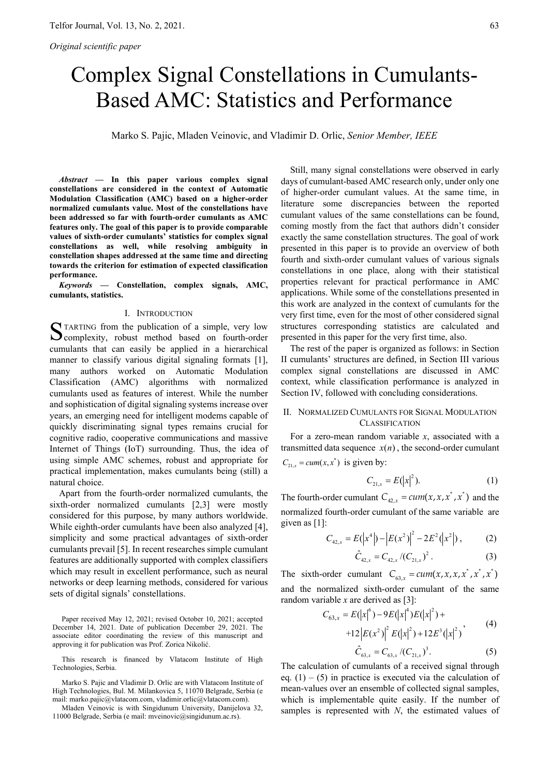# Complex Signal Constellations in Cumulants-Based AMC: Statistics and Performance

Marko S. Pajic, Mladen Veinovic, and Vladimir D. Orlic, *Senior Member, IEEE*

*Abstract* **— In this paper various complex signal constellations are considered in the context of Automatic Modulation Classification (AMC) based on a higher-order normalized cumulants value. Most of the constellations have been addressed so far with fourth-order cumulants as AMC features only. The goal of this paper is to provide comparable values of sixth-order cumulants' statistics for complex signal constellations as well, while resolving ambiguity in constellation shapes addressed at the same time and directing towards the criterion for estimation of expected classification performance.** 

*Keywords* **— Constellation, complex signals, AMC, cumulants, statistics.** 

#### I. INTRODUCTION

TARTING from the publication of a simple, very low STARTING from the publication of a simple, very low Complexity, robust method based on fourth-order cumulants that can easily be applied in a hierarchical manner to classify various digital signaling formats [1], many authors worked on Automatic Modulation Classification (AMC) algorithms with normalized cumulants used as features of interest. While the number and sophistication of digital signaling systems increase over years, an emerging need for intelligent modems capable of quickly discriminating signal types remains crucial for cognitive radio, cooperative communications and massive Internet of Things (IoT) surrounding. Thus, the idea of using simple AMC schemes, robust and appropriate for practical implementation, makes cumulants being (still) a natural choice.

Apart from the fourth-order normalized cumulants, the sixth-order normalized cumulants [2,3] were mostly considered for this purpose, by many authors worldwide. While eighth-order cumulants have been also analyzed [4], simplicity and some practical advantages of sixth-order cumulants prevail [5]. In recent researches simple cumulant features are additionally supported with complex classifiers which may result in excellent performance, such as neural networks or deep learning methods, considered for various sets of digital signals' constellations.

Paper received May 12, 2021; revised October 10, 2021; accepted December 14, 2021. Date of publication December 29, 2021. The associate editor coordinating the review of this manuscript and approving it for publication was Prof. Zorica Nikolić.

This research is financed by Vlatacom Institute of High Technologies, Serbia.

Marko S. Pajic and Vladimir D. Orlic are with Vlatacom Institute of High Technologies, Bul. M. Milankovica 5, 11070 Belgrade, Serbia (e mail: marko.pajic@vlatacom.com, vladimir.orlic@vlatacom.com).

Mladen Veinovic is with Singidunum University, Danijelova 32, 11000 Belgrade, Serbia (e mail: mveinovic@singidunum.ac.rs).

Still, many signal constellations were observed in early days of cumulant-based AMC research only, under only one of higher-order cumulant values. At the same time, in literature some discrepancies between the reported cumulant values of the same constellations can be found, coming mostly from the fact that authors didn't consider exactly the same constellation structures. The goal of work presented in this paper is to provide an overview of both fourth and sixth-order cumulant values of various signals constellations in one place, along with their statistical properties relevant for practical performance in AMC applications. While some of the constellations presented in this work are analyzed in the context of cumulants for the very first time, even for the most of other considered signal structures corresponding statistics are calculated and presented in this paper for the very first time, also.

The rest of the paper is organized as follows: in Section II cumulants' structures are defined, in Section III various complex signal constellations are discussed in AMC context, while classification performance is analyzed in Section IV, followed with concluding considerations.

## II. NORMALIZED CUMULANTS FOR SIGNAL MODULATION CLASSIFICATION

For a zero-mean random variable *x*, associated with a transmitted data sequence  $x(n)$ , the second-order cumulant  $C_{21, x} = cum(x, x^*)$  is given by:

$$
C_{21,x} = E(|x|^2). \tag{1}
$$

The fourth-order cumulant  $C_{42,x} = cum(x, x, x^*, x^*)$  and the normalized fourth-order cumulant of the same variable are given as  $[1]$ :

$$
C_{42,x} = E(|x^4|) - |E(x^2)|^2 - 2E^2(|x^2|), \qquad (2)
$$

$$
\hat{C}_{42,x} = C_{42,x} / (C_{21,x})^2. \tag{3}
$$

The sixth-order cumulant  $C_{63,x} = cum(x, x, x, x^*, x^*, x^*)$ and the normalized sixth-order cumulant of the same random variable  $x$  are derived as [3]:

$$
C_{63,x} = E(|x|^6) - 9E(|x|^4)E(|x|^2) +
$$
  
+12|E(x<sup>2</sup>)|<sup>2</sup> E(|x|^2) + 12E<sup>3</sup>(|x|^2) (4)  

$$
\hat{C}_{63,x} = C_{63,x}/(C_{21,x})^3.
$$
 (5)

The calculation of cumulants of a received signal through eq.  $(1) - (5)$  in practice is executed via the calculation of mean-values over an ensemble of collected signal samples, which is implementable quite easily. If the number of samples is represented with *N*, the estimated values of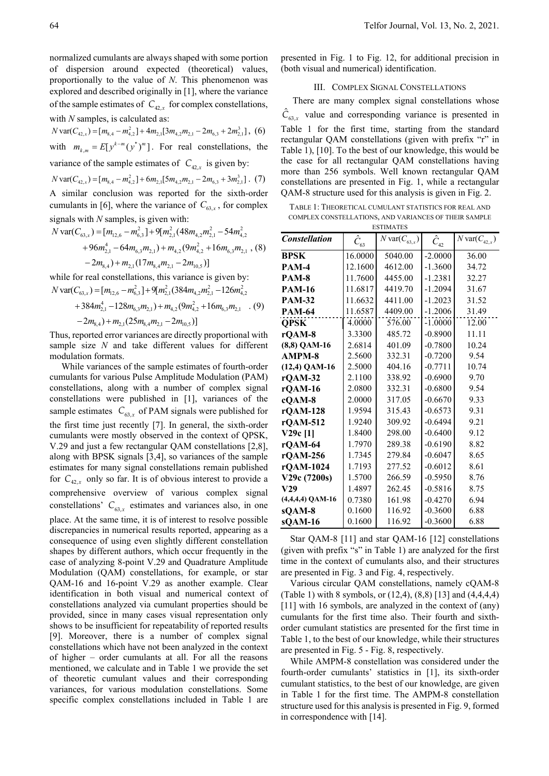normalized cumulants are always shaped with some portion of dispersion around expected (theoretical) values, proportionally to the value of *N*. This phenomenon was explored and described originally in [1], where the variance of the sample estimates of  $C_{42,x}$  for complex constellations, with  $N$  samples, is calculated as:

 $N \text{var}(C_{42,x}) = [m_{8,4} - m_{4,2}^2] + 4m_{2,1} [3m_{4,2}m_{2,1} - 2m_{6,3} + 2m_{2,1}^3]$ , (6)

with  $m_{k,m} = E[y^{k-m}(y^*)^m]$ . For real constellations, the

variance of the sample estimates of  $C_{42,x}$  is given by:

 $N \text{var}(C_{42,x}) = [m_{8,4} - m_{4,2}^2] + 6m_{2,1} [5m_{4,2}m_{2,1} - 2m_{6,3} + 3m_{2,1}^3]$ . (7) A similar conclusion was reported for the sixth-order cumulants in [6], where the variance of  $C_{63,x}$ , for complex signals with  *samples, is given with:* 

$$
N \text{ var}(C_{63,x}) = [m_{12,6} - m_{6,3}^2] + 9[m_{2,1}^2 (48m_{4,2}m_{2,1}^2 - 54m_{4,2}^2 + 96m_{2,1}^4 - 64m_{6,3}m_{2,1}) + m_{4,2}(9m_{4,2}^2 + 16m_{6,3}m_{2,1} , (8) - 2m_{8,4}) + m_{2,1}(17m_{8,4}m_{2,1} - 2m_{10,5})]
$$

while for real constellations, this variance is given by:  $N \text{ var}(C_{63,x}) = [m_{12,6} - m_{6,3}^2] + 9[m_{2,1}^2(384m_{4,2}m_{2,1}^2 - 126m_{4,2}^2)]$ 

+384
$$
m_{2,1}^4
$$
 -128 $m_{6,3}m_{2,1}$ )+ $m_{4,2}$ (9 $m_{4,2}^2$  +16 $m_{6,3}m_{2,1}$  . (9)  
-2 $m_{8,4}$ ) +  $m_{2,1}$ (25 $m_{8,4}m_{2,1}$  -2 $m_{10,5}$ )]

Thus, reported error variances are directly proportional with sample size *N* and take different values for different modulation formats.

While variances of the sample estimates of fourth-order cumulants for various Pulse Amplitude Modulation (PAM) constellations, along with a number of complex signal constellations were published in [1], variances of the sample estimates  $C_{63,x}$  of PAM signals were published for the first time just recently [7]. In general, the sixth-order cumulants were mostly observed in the context of QPSK, V.29 and just a few rectangular QAM constellations [2,8], along with BPSK signals [3,4], so variances of the sample estimates for many signal constellations remain published for  $C_{42x}$  only so far. It is of obvious interest to provide a comprehensive overview of various complex signal constellations'  $C_{63,x}$  estimates and variances also, in one place. At the same time, it is of interest to resolve possible discrepancies in numerical results reported, appearing as a consequence of using even slightly different constellation shapes by different authors, which occur frequently in the case of analyzing 8-point V.29 and Quadrature Amplitude Modulation (QAM) constellations, for example, or star QAM-16 and 16-point V.29 as another example. Clear identification in both visual and numerical context of constellations analyzed via cumulant properties should be provided, since in many cases visual representation only shows to be insufficient for repeatability of reported results [9]. Moreover, there is a number of complex signal constellations which have not been analyzed in the context of higher – order cumulants at all. For all the reasons mentioned, we calculate and in Table 1 we provide the set of theoretic cumulant values and their corresponding variances, for various modulation constellations. Some specific complex constellations included in Table 1 are

presented in Fig. 1 to Fig. 12, for additional precision in (both visual and numerical) identification.

## III. COMPLEX SIGNAL CONSTELLATIONS

There are many complex signal constellations whose  $\hat{C}_{63,x}$  value and corresponding variance is presented in Table 1 for the first time, starting from the standard rectangular QAM constellations (given with prefix "r" in Table 1), [10]. To the best of our knowledge, this would be the case for all rectangular QAM constellations having more than 256 symbols. Well known rectangular QAM constellations are presented in Fig. 1, while a rectangular QAM-8 structure used for this analysis is given in Fig. 2.

TABLE 1: THEORETICAL CUMULANT STATISTICS FOR REAL AND COMPLEX CONSTELLATIONS, AND VARIANCES OF THEIR SAMPLE ESTIMATES

| <b>Constellation</b> | $\hat{C}_{63}$ | $\overline{N}$ var $(C_{63,x})$<br>$\hat{C}_{42}$ |           | $N \text{var}(C_{42,x})$ |  |  |  |  |  |
|----------------------|----------------|---------------------------------------------------|-----------|--------------------------|--|--|--|--|--|
| <b>BPSK</b>          | 16.0000        | 5040.00                                           | $-2.0000$ | 36.00                    |  |  |  |  |  |
| PAM-4                | 12.1600        | 4612.00                                           | $-1.3600$ | 34.72                    |  |  |  |  |  |
| PAM-8                | 11.7600        | 4455.00                                           | $-1.2381$ | 32.27                    |  |  |  |  |  |
| <b>PAM-16</b>        | 11.6817        | 4419.70                                           | $-1.2094$ | 31.67                    |  |  |  |  |  |
| <b>PAM-32</b>        | 11.6632        | 4411.00                                           | $-1.2023$ | 31.52                    |  |  |  |  |  |
| <b>PAM-64</b>        | 11.6587        | 4409.00                                           | $-1.2006$ | 31.49                    |  |  |  |  |  |
| <b>QPSK</b>          | 4.0000         | 576.00                                            | $-1.0000$ | 12.00                    |  |  |  |  |  |
| rQAM-8               | 3.3300         | 485.72                                            | $-0.8900$ | 11.11                    |  |  |  |  |  |
| $(8,8)$ QAM-16       | 2.6814         | 401.09                                            | $-0.7800$ | 10.24                    |  |  |  |  |  |
| AMPM-8               | 2.5600         | 332.31                                            | $-0.7200$ | 9.54                     |  |  |  |  |  |
| (12,4) QAM-16        | 2.5000         | 404.16                                            | $-0.7711$ | 10.74                    |  |  |  |  |  |
| $rQAM-32$            | 2.1100         | 338.92                                            | $-0.6900$ | 9.70                     |  |  |  |  |  |
| rQAM-16              | 2.0800         | 332.31                                            | $-0.6800$ | 9.54                     |  |  |  |  |  |
| cQAM-8               | 2.0000         | 317.05                                            | $-0.6670$ | 9.33                     |  |  |  |  |  |
| $r$ OAM-128          | 1.9594         | 315.43                                            | $-0.6573$ | 9.31                     |  |  |  |  |  |
| rQAM-512             | 1.9240         | 309.92                                            | $-0.6494$ | 9.21                     |  |  |  |  |  |
| $V29c$ [1]           | 1.8400         | 298.00                                            | $-0.6400$ | 9.12                     |  |  |  |  |  |
| rQAM-64              | 1.7970         | 289.38                                            | $-0.6190$ | 8.82                     |  |  |  |  |  |
| rQAM-256             | 1.7345         | 279.84                                            | $-0.6047$ | 8.65                     |  |  |  |  |  |
| rQAM-1024            | 1.7193         | 277.52                                            | $-0.6012$ | 8.61                     |  |  |  |  |  |
| V29c (7200s)         | 1.5700         | 266.59                                            | $-0.5950$ | 8.76                     |  |  |  |  |  |
| V29                  | 1.4897         | 262.45                                            | $-0.5816$ | 8.75                     |  |  |  |  |  |
| $(4,4,4,4)$ QAM-16   | 0.7380         | 161.98                                            | $-0.4270$ | 6.94                     |  |  |  |  |  |
| sQAM-8               | 0.1600         | 116.92                                            | $-0.3600$ | 6.88                     |  |  |  |  |  |
| sQAM-16              | 0.1600         | 116.92                                            | $-0.3600$ | 6.88                     |  |  |  |  |  |

Star QAM-8 [11] and star QAM-16 [12] constellations (given with prefix "s" in Table 1) are analyzed for the first time in the context of cumulants also, and their structures are presented in Fig. 3 and Fig. 4, respectively.

Various circular QAM constellations, namely cQAM-8 (Table 1) with 8 symbols, or (12,4), (8,8) [13] and (4,4,4,4) [11] with 16 symbols, are analyzed in the context of (any) cumulants for the first time also. Their fourth and sixthorder cumulant statistics are presented for the first time in Table 1, to the best of our knowledge, while their structures are presented in Fig. 5 - Fig. 8, respectively.

While AMPM-8 constellation was considered under the fourth-order cumulants' statistics in [1], its sixth-order cumulant statistics, to the best of our knowledge, are given in Table 1 for the first time. The AMPM-8 constellation structure used for this analysis is presented in Fig. 9, formed in correspondence with [14].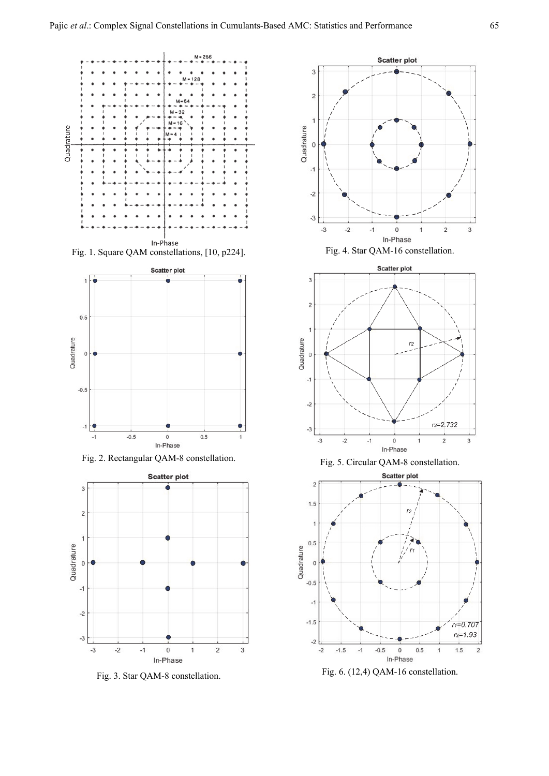



Fig. 2. Rectangular QAM-8 constellation.



Fig. 3. Star QAM-8 constellation.



Fig. 4. Star QAM-16 constellation.





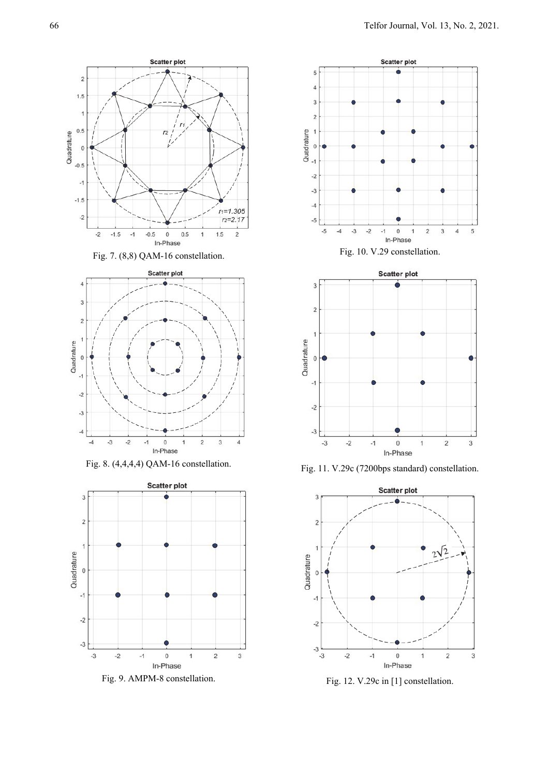





Fig. 8. (4,4,4,4) QAM-16 constellation.



Fig. 9. AMPM-8 constellation.







Fig. 11. V.29c (7200bps standard) constellation.



Fig. 12. V.29c in [1] constellation.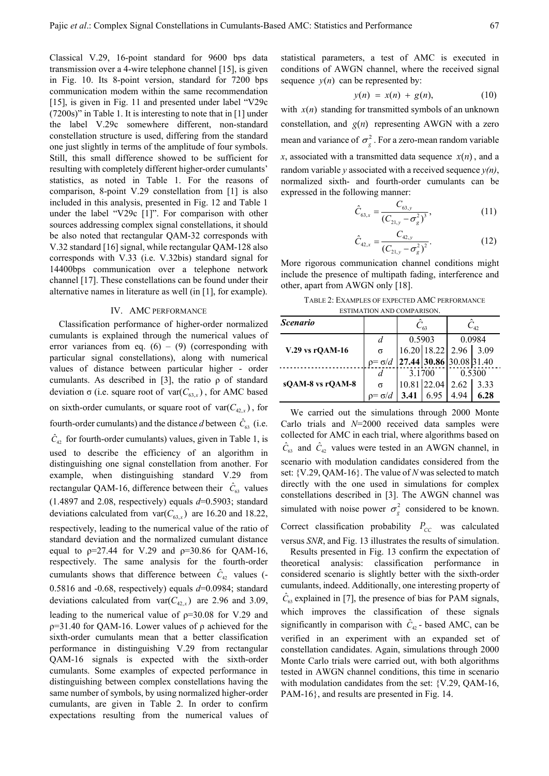Classical V.29, 16-point standard for 9600 bps data transmission over a 4-wire telephone channel [15], is given in Fig. 10. Its 8-point version, standard for 7200 bps communication modem within the same recommendation [15], is given in Fig. 11 and presented under label "V29c (7200s)" in Table 1. It is interesting to note that in [1] under the label V.29c somewhere different, non-standard constellation structure is used, differing from the standard one just slightly in terms of the amplitude of four symbols. Still, this small difference showed to be sufficient for resulting with completely different higher-order cumulants' statistics, as noted in Table 1. For the reasons of comparison, 8-point V.29 constellation from [1] is also included in this analysis, presented in Fig. 12 and Table 1 under the label "V29c [1]". For comparison with other sources addressing complex signal constellations, it should be also noted that rectangular QAM-32 corresponds with V.32 standard [16] signal, while rectangular QAM-128 also corresponds with V.33 (i.e. V.32bis) standard signal for 14400bps communication over a telephone network channel [17]. These constellations can be found under their alternative names in literature as well (in [1], for example).

### IV. AMC PERFORMANCE

Classification performance of higher-order normalized cumulants is explained through the numerical values of error variances from eq.  $(6) - (9)$  (corresponding with particular signal constellations), along with numerical values of distance between particular higher - order cumulants. As described in [3], the ratio  $\rho$  of standard deviation σ (i.e. square root of  $var(C_{63.x})$ , for AMC based on sixth-order cumulants, or square root of  $\text{var}(C_{42.x})$ , for fourth-order cumulants) and the distance *d* between  $\hat{C}_{63}$  (i.e.  $\hat{C}_{42}$  for fourth-order cumulants) values, given in Table 1, is used to describe the efficiency of an algorithm in distinguishing one signal constellation from another. For example, when distinguishing standard V.29 from rectangular QAM-16, difference between their  $\hat{C}_{63}$  values (1.4897 and 2.08, respectively) equals *d*=0.5903; standard deviations calculated from  $var(C_{63,x})$  are 16.20 and 18.22, respectively, leading to the numerical value of the ratio of standard deviation and the normalized cumulant distance equal to  $p=27.44$  for V.29 and  $p=30.86$  for OAM-16, respectively. The same analysis for the fourth-order cumulants shows that difference between  $\hat{C}_{42}$  values (-0.5816 and -0.68, respectively) equals *d*=0.0984; standard deviations calculated from  $var(C_{42.x})$  are 2.96 and 3.09, leading to the numerical value of  $p=30.08$  for V.29 and ρ=31.40 for QAM-16. Lower values of ρ achieved for the sixth-order cumulants mean that a better classification performance in distinguishing V.29 from rectangular QAM-16 signals is expected with the sixth-order cumulants. Some examples of expected performance in distinguishing between complex constellations having the same number of symbols, by using normalized higher-order cumulants, are given in Table 2. In order to confirm expectations resulting from the numerical values of

statistical parameters, a test of AMC is executed in conditions of AWGN channel, where the received signal sequence  $y(n)$  can be represented by:

$$
y(n) = x(n) + g(n), \qquad (10)
$$

with  $x(n)$  standing for transmitted symbols of an unknown constellation, and  $g(n)$  representing AWGN with a zero mean and variance of  $\sigma_g^2$ . For a zero-mean random variable *x*, associated with a transmitted data sequence  $x(n)$ , and a random variable *y* associated with a received sequence *y(n)*, normalized sixth- and fourth-order cumulants can be expressed in the following manner:

$$
\hat{C}_{63,x} = \frac{C_{63,y}}{(C_{21,y} - \sigma_g^2)^3},\tag{11}
$$

$$
\hat{C}_{42,x} = \frac{C_{42,y}}{(C_{21,y} - \sigma_g^2)^2}.
$$
 (12)

More rigorous communication channel conditions might include the presence of multipath fading, interference and other, apart from AWGN only [18].

TABLE 2: EXAMPLES OF EXPECTED AMC PERFORMANCE ESTIMATION AND COMPARISON.

| <b>Scenario</b>  |                |        |                         | $C_{42}$ |      |
|------------------|----------------|--------|-------------------------|----------|------|
|                  | d              | 0.5903 |                         | 0.0984   |      |
| V.29 vs rQAM-16  | σ              |        | 16.20 18.22 2.96 3.09   |          |      |
|                  | $p = \sigma/d$ |        | 27.44 30.86 30.08 31.40 |          |      |
|                  | d              | 3.1700 |                         | 0.5300   |      |
| sQAM-8 vs rQAM-8 | σ              |        | 10.81 22.04             | 2.62     | 3.33 |
|                  |                |        | 6.95                    | 4.94     | 6.28 |

We carried out the simulations through 2000 Monte Carlo trials and *N*=2000 received data samples were collected for AMC in each trial, where algorithms based on  $\hat{C}_{63}$  and  $\hat{C}_{42}$  values were tested in an AWGN channel, in scenario with modulation candidates considered from the set: {V.29, QAM-16}. The value of *N* was selected to match directly with the one used in simulations for complex constellations described in [3]. The AWGN channel was simulated with noise power  $\sigma_{g}^{2}$  considered to be known. Correct classification probability  $P_{CC}$  was calculated versus *SNR*, and Fig. 13 illustrates the results of simulation.

Results presented in Fig. 13 confirm the expectation of theoretical analysis: classification performance in considered scenario is slightly better with the sixth-order cumulants, indeed. Additionally, one interesting property of  $\hat{C}_{63}$  explained in [7], the presence of bias for PAM signals, which improves the classification of these signals significantly in comparison with  $\hat{C}_{42}$  - based AMC, can be verified in an experiment with an expanded set of constellation candidates. Again, simulations through 2000 Monte Carlo trials were carried out, with both algorithms tested in AWGN channel conditions, this time in scenario with modulation candidates from the set: {V.29, QAM-16, PAM-16}, and results are presented in Fig. 14.